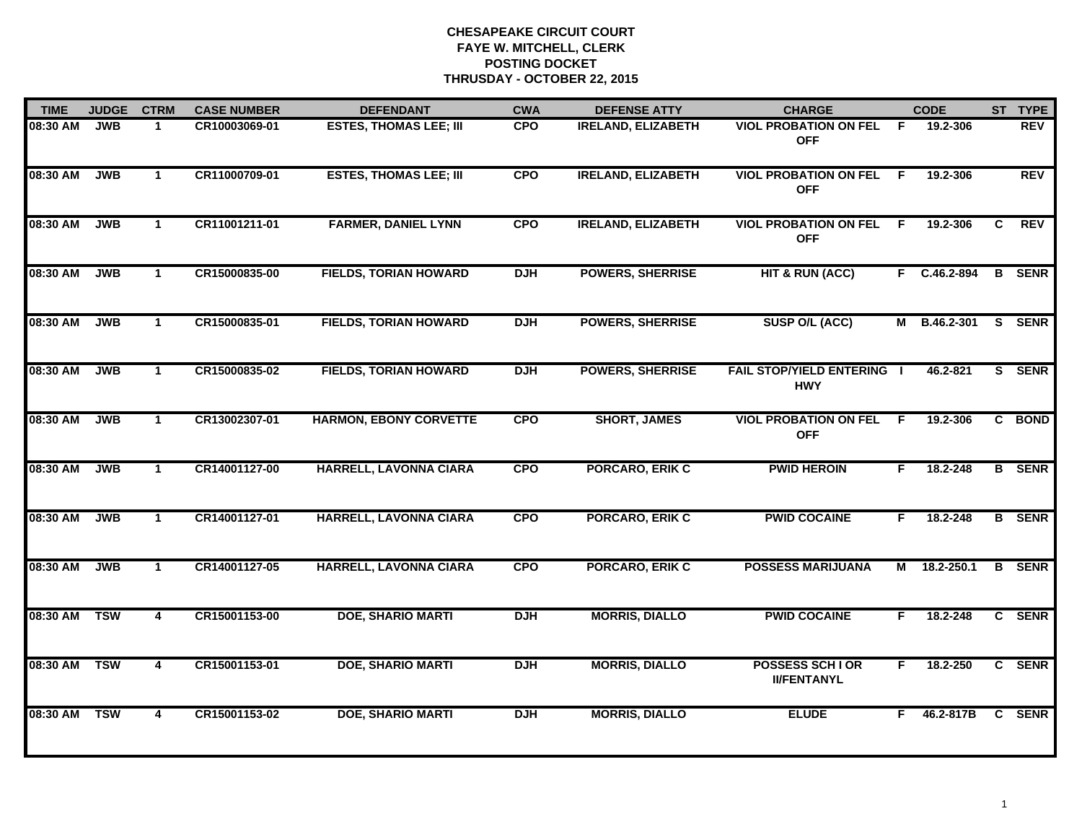| <b>TIME</b> | <b>JUDGE</b> | <b>CTRM</b>             | <b>CASE NUMBER</b> | <b>DEFENDANT</b>              | <b>CWA</b> | <b>DEFENSE ATTY</b>       | <b>CHARGE</b>                                   |    | <b>CODE</b>  |    | ST TYPE       |
|-------------|--------------|-------------------------|--------------------|-------------------------------|------------|---------------------------|-------------------------------------------------|----|--------------|----|---------------|
| 08:30 AM    | <b>JWB</b>   | 1                       | CR10003069-01      | <b>ESTES, THOMAS LEE; III</b> | <b>CPO</b> | <b>IRELAND, ELIZABETH</b> | <b>VIOL PROBATION ON FEL</b><br><b>OFF</b>      | F  | 19.2-306     |    | <b>REV</b>    |
| 08:30 AM    | <b>JWB</b>   | $\mathbf{1}$            | CR11000709-01      | <b>ESTES, THOMAS LEE; III</b> | <b>CPO</b> | <b>IRELAND, ELIZABETH</b> | <b>VIOL PROBATION ON FEL</b><br><b>OFF</b>      | E  | 19.2-306     |    | <b>REV</b>    |
| 08:30 AM    | <b>JWB</b>   | $\mathbf 1$             | CR11001211-01      | <b>FARMER, DANIEL LYNN</b>    | <b>CPO</b> | <b>IRELAND, ELIZABETH</b> | <b>VIOL PROBATION ON FEL</b><br><b>OFF</b>      | -F | 19.2-306     | C. | <b>REV</b>    |
| 08:30 AM    | <b>JWB</b>   | $\mathbf{1}$            | CR15000835-00      | <b>FIELDS, TORIAN HOWARD</b>  | <b>DJH</b> | <b>POWERS, SHERRISE</b>   | <b>HIT &amp; RUN (ACC)</b>                      |    | F C.46.2-894 |    | <b>B</b> SENR |
| 08:30 AM    | <b>JWB</b>   | $\mathbf{1}$            | CR15000835-01      | <b>FIELDS, TORIAN HOWARD</b>  | <b>DJH</b> | <b>POWERS, SHERRISE</b>   | SUSP O/L (ACC)                                  | М  | B.46.2-301   |    | S SENR        |
| 08:30 AM    | <b>JWB</b>   | $\mathbf{1}$            | CR15000835-02      | <b>FIELDS, TORIAN HOWARD</b>  | <b>DJH</b> | <b>POWERS, SHERRISE</b>   | <b>FAIL STOP/YIELD ENTERING I</b><br><b>HWY</b> |    | 46.2-821     |    | S SENR        |
| 08:30 AM    | <b>JWB</b>   | $\mathbf{1}$            | CR13002307-01      | <b>HARMON, EBONY CORVETTE</b> | <b>CPO</b> | <b>SHORT, JAMES</b>       | <b>VIOL PROBATION ON FEL</b><br><b>OFF</b>      | F  | 19.2-306     |    | C BOND        |
| 08:30 AM    | <b>JWB</b>   | $\mathbf 1$             | CR14001127-00      | HARRELL, LAVONNA CIARA        | <b>CPO</b> | <b>PORCARO, ERIK C</b>    | <b>PWID HEROIN</b>                              | F. | 18.2-248     |    | <b>B</b> SENR |
| 08:30 AM    | <b>JWB</b>   | $\mathbf{1}$            | CR14001127-01      | <b>HARRELL, LAVONNA CIARA</b> | <b>CPO</b> | <b>PORCARO, ERIK C</b>    | <b>PWID COCAINE</b>                             | F. | 18.2-248     |    | <b>B</b> SENR |
| 08:30 AM    | <b>JWB</b>   | $\mathbf{1}$            | CR14001127-05      | HARRELL, LAVONNA CIARA        | <b>CPO</b> | <b>PORCARO, ERIK C</b>    | <b>POSSESS MARIJUANA</b>                        |    | M 18.2-250.1 |    | <b>B</b> SENR |
| 08:30 AM    | <b>TSW</b>   | $\overline{\mathbf{4}}$ | CR15001153-00      | <b>DOE, SHARIO MARTI</b>      | <b>DJH</b> | <b>MORRIS, DIALLO</b>     | <b>PWID COCAINE</b>                             | F. | 18.2-248     |    | C SENR        |
| 08:30 AM    | <b>TSW</b>   | $\overline{\mathbf{4}}$ | CR15001153-01      | <b>DOE, SHARIO MARTI</b>      | <b>DJH</b> | <b>MORRIS, DIALLO</b>     | <b>POSSESS SCHIOR</b><br><b>II/FENTANYL</b>     | F. | 18.2-250     |    | C SENR        |
| 08:30 AM    | <b>TSW</b>   | 4                       | CR15001153-02      | <b>DOE, SHARIO MARTI</b>      | <b>DJH</b> | <b>MORRIS, DIALLO</b>     | <b>ELUDE</b>                                    | F. | 46.2-817B    |    | C SENR        |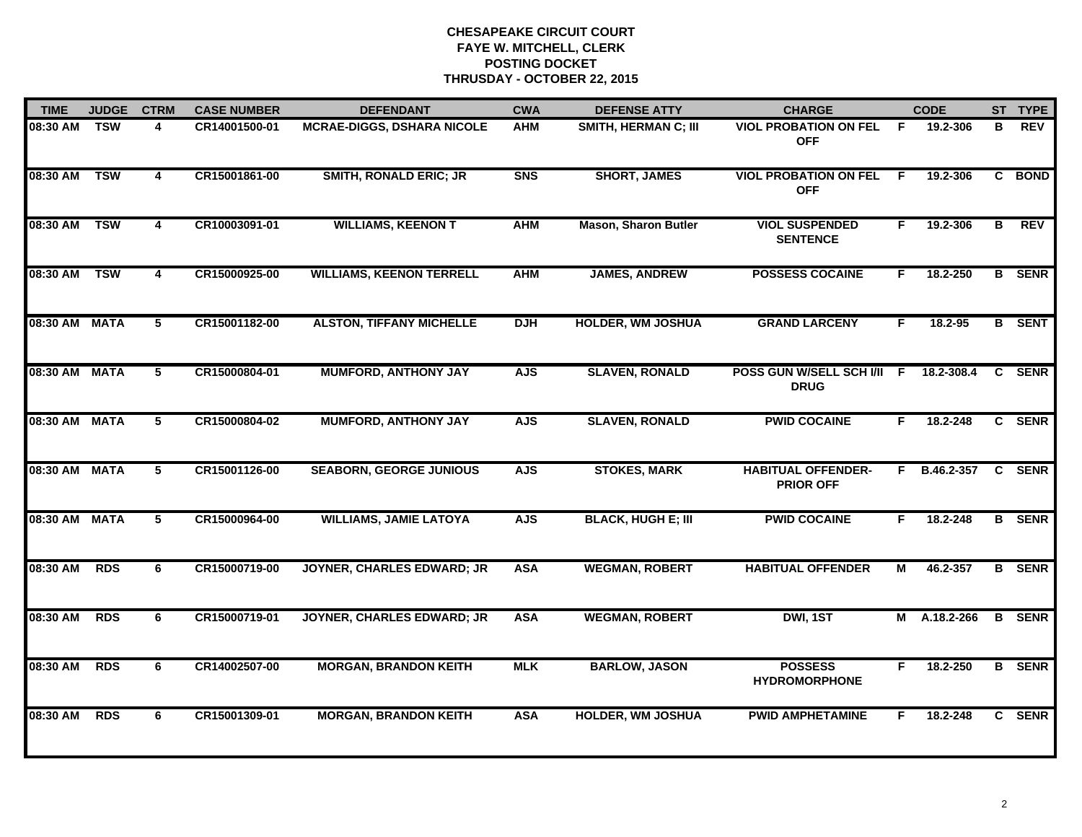| <b>TIME</b>   | <b>JUDGE</b> | <b>CTRM</b>             | <b>CASE NUMBER</b> | <b>DEFENDANT</b>                  | <b>CWA</b> | <b>DEFENSE ATTY</b>         | <b>CHARGE</b>                                 |    | <b>CODE</b>  |                | ST TYPE       |
|---------------|--------------|-------------------------|--------------------|-----------------------------------|------------|-----------------------------|-----------------------------------------------|----|--------------|----------------|---------------|
| 08:30 AM      | <b>TSW</b>   | 4                       | CR14001500-01      | <b>MCRAE-DIGGS, DSHARA NICOLE</b> | <b>AHM</b> | SMITH, HERMAN C; III        | <b>VIOL PROBATION ON FEL</b><br><b>OFF</b>    | F. | 19.2-306     | в              | <b>REV</b>    |
| 08:30 AM      | <b>TSW</b>   | 4                       | CR15001861-00      | <b>SMITH, RONALD ERIC; JR</b>     | <b>SNS</b> | <b>SHORT, JAMES</b>         | <b>VIOL PROBATION ON FEL</b><br><b>OFF</b>    | F  | 19.2-306     |                | C BOND        |
| 08:30 AM      | <b>TSW</b>   | $\overline{\mathbf{4}}$ | CR10003091-01      | <b>WILLIAMS, KEENON T</b>         | <b>AHM</b> | <b>Mason, Sharon Butler</b> | <b>VIOL SUSPENDED</b><br><b>SENTENCE</b>      | F. | 19.2-306     | $\overline{B}$ | <b>REV</b>    |
| 08:30 AM      | <b>TSW</b>   | 4                       | CR15000925-00      | <b>WILLIAMS, KEENON TERRELL</b>   | <b>AHM</b> | <b>JAMES, ANDREW</b>        | <b>POSSESS COCAINE</b>                        | F. | 18.2-250     |                | <b>B</b> SENR |
| 08:30 AM MATA |              | 5                       | CR15001182-00      | <b>ALSTON, TIFFANY MICHELLE</b>   | <b>DJH</b> | <b>HOLDER, WM JOSHUA</b>    | <b>GRAND LARCENY</b>                          | F. | $18.2 - 95$  |                | <b>B</b> SENT |
| 08:30 AM MATA |              | 5                       | CR15000804-01      | <b>MUMFORD, ANTHONY JAY</b>       | <b>AJS</b> | <b>SLAVEN, RONALD</b>       | POSS GUN W/SELL SCH I/II F<br><b>DRUG</b>     |    | 18.2-308.4   | $\mathbf{c}$   | <b>SENR</b>   |
| 08:30 AM MATA |              | 5                       | CR15000804-02      | <b>MUMFORD, ANTHONY JAY</b>       | <b>AJS</b> | <b>SLAVEN, RONALD</b>       | <b>PWID COCAINE</b>                           | F. | 18.2-248     |                | C SENR        |
| 08:30 AM MATA |              | 5                       | CR15001126-00      | <b>SEABORN, GEORGE JUNIOUS</b>    | <b>AJS</b> | <b>STOKES, MARK</b>         | <b>HABITUAL OFFENDER-</b><br><b>PRIOR OFF</b> |    | F B.46.2-357 |                | C SENR        |
| 08:30 AM MATA |              | 5                       | CR15000964-00      | <b>WILLIAMS, JAMIE LATOYA</b>     | <b>AJS</b> | <b>BLACK, HUGH E; III</b>   | <b>PWID COCAINE</b>                           | F. | 18.2-248     |                | <b>B</b> SENR |
| 08:30 AM      | <b>RDS</b>   | 6                       | CR15000719-00      | <b>JOYNER, CHARLES EDWARD; JR</b> | <b>ASA</b> | <b>WEGMAN, ROBERT</b>       | <b>HABITUAL OFFENDER</b>                      | М  | 46.2-357     |                | <b>B</b> SENR |
| 08:30 AM      | <b>RDS</b>   | 6                       | CR15000719-01      | <b>JOYNER, CHARLES EDWARD; JR</b> | <b>ASA</b> | <b>WEGMAN, ROBERT</b>       | DWI, 1ST                                      |    | M A.18.2-266 |                | <b>B</b> SENR |
| 08:30 AM      | <b>RDS</b>   | 6                       | CR14002507-00      | <b>MORGAN, BRANDON KEITH</b>      | <b>MLK</b> | <b>BARLOW, JASON</b>        | <b>POSSESS</b><br><b>HYDROMORPHONE</b>        | F  | 18.2-250     |                | <b>B</b> SENR |
| 08:30 AM      | <b>RDS</b>   | 6                       | CR15001309-01      | <b>MORGAN, BRANDON KEITH</b>      | <b>ASA</b> | <b>HOLDER, WM JOSHUA</b>    | <b>PWID AMPHETAMINE</b>                       | F  | 18.2-248     |                | C SENR        |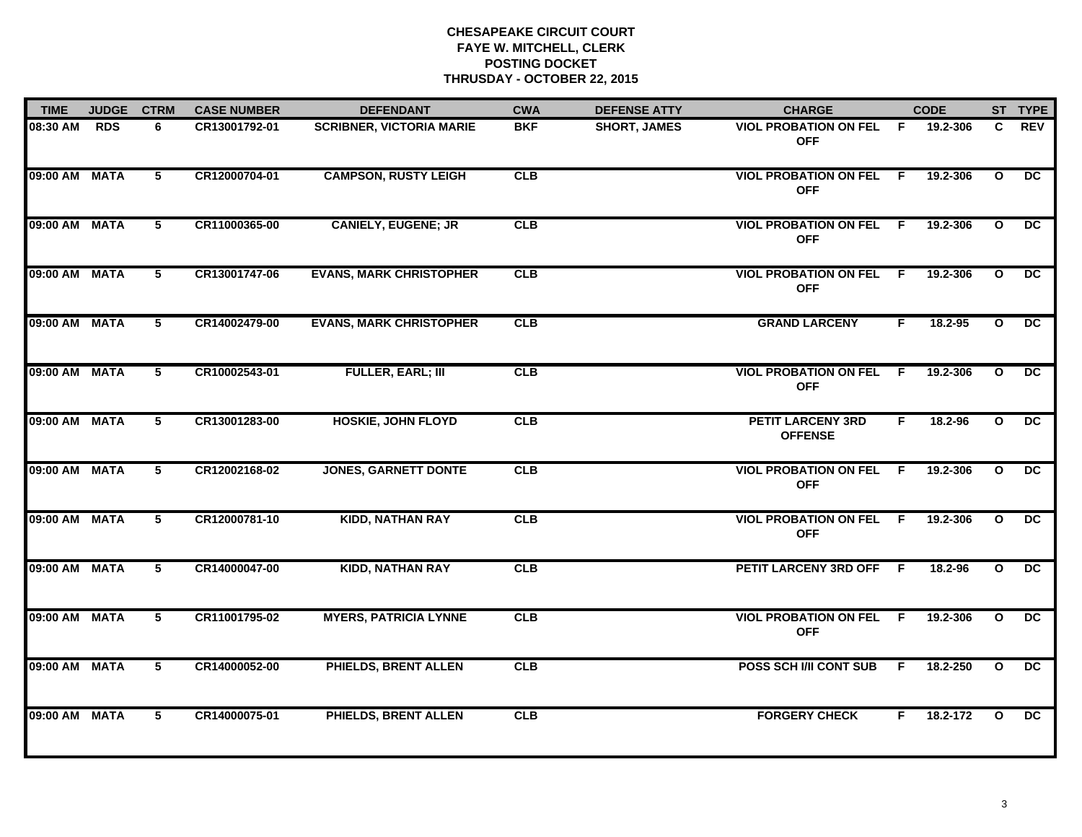| <b>TIME</b>   | <b>JUDGE</b> | <b>CTRM</b> | <b>CASE NUMBER</b> | <b>DEFENDANT</b>                | <b>CWA</b> | <b>DEFENSE ATTY</b> | <b>CHARGE</b>                                |     | <b>CODE</b> |              | ST TYPE         |
|---------------|--------------|-------------|--------------------|---------------------------------|------------|---------------------|----------------------------------------------|-----|-------------|--------------|-----------------|
| 08:30 AM      | <b>RDS</b>   | 6           | CR13001792-01      | <b>SCRIBNER, VICTORIA MARIE</b> | <b>BKF</b> | <b>SHORT, JAMES</b> | <b>VIOL PROBATION ON FEL</b><br><b>OFF</b>   | F.  | 19.2-306    | C.           | <b>REV</b>      |
| 09:00 AM MATA |              | 5           | CR12000704-01      | <b>CAMPSON, RUSTY LEIGH</b>     | CLB        |                     | <b>VIOL PROBATION ON FEL F</b><br><b>OFF</b> |     | 19.2-306    | $\mathbf{o}$ | DC.             |
| 09:00 AM MATA |              | 5           | CR11000365-00      | <b>CANIELY, EUGENE; JR</b>      | CLB        |                     | <b>VIOL PROBATION ON FEL</b><br><b>OFF</b>   | - F | 19.2-306    | $\mathbf{o}$ | $\overline{DC}$ |
| 09:00 AM MATA |              | 5           | CR13001747-06      | <b>EVANS, MARK CHRISTOPHER</b>  | <b>CLB</b> |                     | <b>VIOL PROBATION ON FEL F</b><br><b>OFF</b> |     | 19.2-306    | $\mathbf{o}$ | DC.             |
| 09:00 AM MATA |              | 5           | CR14002479-00      | <b>EVANS, MARK CHRISTOPHER</b>  | CLB        |                     | <b>GRAND LARCENY</b>                         | F.  | 18.2-95     | $\mathbf{o}$ | $\overline{DC}$ |
| 09:00 AM MATA |              | 5           | CR10002543-01      | <b>FULLER, EARL; III</b>        | CLB        |                     | <b>VIOL PROBATION ON FEL F</b><br><b>OFF</b> |     | 19.2-306    | $\mathbf{o}$ | DC.             |
| 09:00 AM MATA |              | 5           | CR13001283-00      | <b>HOSKIE, JOHN FLOYD</b>       | CLB        |                     | <b>PETIT LARCENY 3RD</b><br><b>OFFENSE</b>   | F.  | 18.2-96     | $\mathbf{o}$ | $\overline{DC}$ |
| 09:00 AM MATA |              | 5           | CR12002168-02      | <b>JONES, GARNETT DONTE</b>     | CLB        |                     | <b>VIOL PROBATION ON FEL F</b><br><b>OFF</b> |     | 19.2-306    | $\mathbf{o}$ | $\overline{DC}$ |
| 09:00 AM      | <b>MATA</b>  | 5           | CR12000781-10      | <b>KIDD, NATHAN RAY</b>         | CLB        |                     | <b>VIOL PROBATION ON FEL</b><br><b>OFF</b>   | -F  | 19.2-306    | $\mathbf{o}$ | DC.             |
| 09:00 AM MATA |              | 5           | CR14000047-00      | <b>KIDD, NATHAN RAY</b>         | CLB        |                     | PETIT LARCENY 3RD OFF                        | - F | 18.2-96     | $\mathbf{o}$ | $\overline{DC}$ |
| 09:00 AM MATA |              | 5           | CR11001795-02      | <b>MYERS, PATRICIA LYNNE</b>    | CLB        |                     | <b>VIOL PROBATION ON FEL F</b><br><b>OFF</b> |     | 19.2-306    | $\mathbf{o}$ | $\overline{DC}$ |
| 09:00 AM MATA |              | 5           | CR14000052-00      | <b>PHIELDS, BRENT ALLEN</b>     | <b>CLB</b> |                     | POSS SCH I/II CONT SUB                       | F.  | 18.2-250    | $\mathbf{o}$ | $\overline{DC}$ |
| 09:00 AM MATA |              | 5           | CR14000075-01      | <b>PHIELDS, BRENT ALLEN</b>     | CLB        |                     | <b>FORGERY CHECK</b>                         | F.  | 18.2-172    | $\Omega$     | $\overline{DC}$ |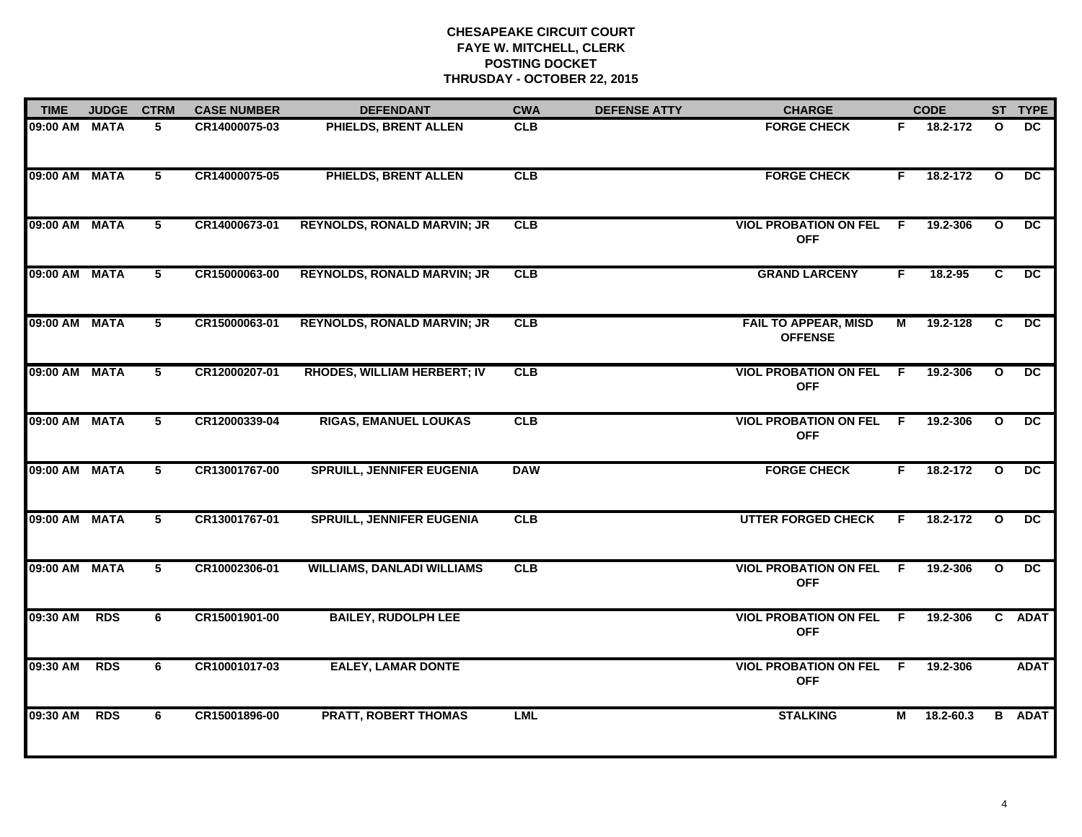| <b>TIME</b>   | <b>JUDGE</b> | <b>CTRM</b> | <b>CASE NUMBER</b> | <b>DEFENDANT</b>                   | <b>CWA</b> | <b>DEFENSE ATTY</b> | <b>CHARGE</b>                                 |    | <b>CODE</b>   |              | ST TYPE         |
|---------------|--------------|-------------|--------------------|------------------------------------|------------|---------------------|-----------------------------------------------|----|---------------|--------------|-----------------|
| 09:00 AM MATA |              | 5           | CR14000075-03      | PHIELDS, BRENT ALLEN               | <b>CLB</b> |                     | <b>FORGE CHECK</b>                            | F. | 18.2-172      | $\mathbf{o}$ | DC.             |
| 09:00 AM MATA |              | 5           | CR14000075-05      | <b>PHIELDS, BRENT ALLEN</b>        | CLB        |                     | <b>FORGE CHECK</b>                            | F. | 18.2-172      | $\mathbf{o}$ | DC.             |
| 09:00 AM      | <b>MATA</b>  | $5^{\circ}$ | CR14000673-01      | <b>REYNOLDS, RONALD MARVIN; JR</b> | CLB        |                     | <b>VIOL PROBATION ON FEL</b><br><b>OFF</b>    | E  | 19.2-306      | $\mathbf{o}$ | DC              |
| 09:00 AM MATA |              | 5           | CR15000063-00      | <b>REYNOLDS, RONALD MARVIN; JR</b> | <b>CLB</b> |                     | <b>GRAND LARCENY</b>                          | F. | $18.2 - 95$   | C.           | $\overline{DC}$ |
| 09:00 AM MATA |              | 5           | CR15000063-01      | <b>REYNOLDS, RONALD MARVIN; JR</b> | CLB        |                     | <b>FAIL TO APPEAR, MISD</b><br><b>OFFENSE</b> | М  | 19.2-128      | C            | DC              |
| 09:00 AM MATA |              | 5           | CR12000207-01      | <b>RHODES, WILLIAM HERBERT; IV</b> | CLB        |                     | <b>VIOL PROBATION ON FEL F</b><br><b>OFF</b>  |    | 19.2-306      | $\mathbf{o}$ | DC.             |
| 09:00 AM MATA |              | $5^{\circ}$ | CR12000339-04      | <b>RIGAS, EMANUEL LOUKAS</b>       | CLB        |                     | <b>VIOL PROBATION ON FEL</b><br><b>OFF</b>    | F  | 19.2-306      | $\mathbf{o}$ | DC.             |
| 09:00 AM MATA |              | $5^{\circ}$ | CR13001767-00      | <b>SPRUILL, JENNIFER EUGENIA</b>   | <b>DAW</b> |                     | <b>FORGE CHECK</b>                            | F. | 18.2-172      | $\mathbf{o}$ | DC              |
| 09:00 AM MATA |              | 5           | CR13001767-01      | <b>SPRUILL, JENNIFER EUGENIA</b>   | CLB        |                     | <b>UTTER FORGED CHECK</b>                     | F. | 18.2-172      | $\mathbf{o}$ | $\overline{DC}$ |
| 09:00 AM      | <b>MATA</b>  | 5           | CR10002306-01      | <b>WILLIAMS, DANLADI WILLIAMS</b>  | CLB        |                     | <b>VIOL PROBATION ON FEL</b><br><b>OFF</b>    | F. | 19.2-306      | $\mathbf{o}$ | DC              |
| 09:30 AM      | <b>RDS</b>   | 6           | CR15001901-00      | <b>BAILEY, RUDOLPH LEE</b>         |            |                     | <b>VIOL PROBATION ON FEL F</b><br><b>OFF</b>  |    | 19.2-306      |              | C ADAT          |
| 09:30 AM      | <b>RDS</b>   | 6           | CR10001017-03      | <b>EALEY, LAMAR DONTE</b>          |            |                     | <b>VIOL PROBATION ON FEL</b><br><b>OFF</b>    | F. | 19.2-306      |              | <b>ADAT</b>     |
| 09:30 AM      | <b>RDS</b>   | 6           | CR15001896-00      | <b>PRATT, ROBERT THOMAS</b>        | <b>LML</b> |                     | <b>STALKING</b>                               | М  | $18.2 - 60.3$ |              | <b>B</b> ADAT   |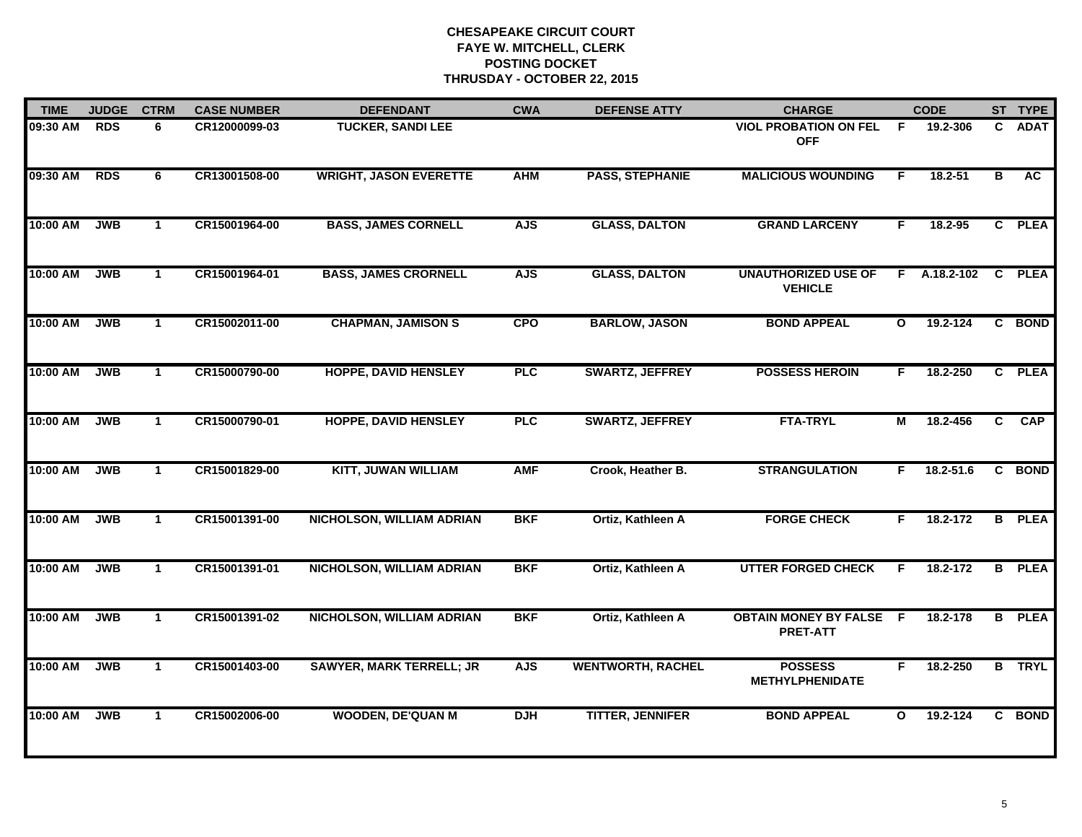| <b>TIME</b> | <b>JUDGE</b> | <b>CTRM</b>  | <b>CASE NUMBER</b> | <b>DEFENDANT</b>                 | <b>CWA</b> | <b>DEFENSE ATTY</b>      | <b>CHARGE</b>                                     |              | <b>CODE</b>  |                | ST TYPE       |
|-------------|--------------|--------------|--------------------|----------------------------------|------------|--------------------------|---------------------------------------------------|--------------|--------------|----------------|---------------|
| 09:30 AM    | <b>RDS</b>   | 6            | CR12000099-03      | <b>TUCKER, SANDI LEE</b>         |            |                          | <b>VIOL PROBATION ON FEL</b><br><b>OFF</b>        | F            | 19.2-306     | C.             | <b>ADAT</b>   |
| 09:30 AM    | <b>RDS</b>   | 6            | CR13001508-00      | <b>WRIGHT, JASON EVERETTE</b>    | <b>AHM</b> | <b>PASS, STEPHANIE</b>   | <b>MALICIOUS WOUNDING</b>                         | F.           | $18.2 - 51$  | В              | <b>AC</b>     |
| 10:00 AM    | <b>JWB</b>   | $\mathbf{1}$ | CR15001964-00      | <b>BASS, JAMES CORNELL</b>       | <b>AJS</b> | <b>GLASS, DALTON</b>     | <b>GRAND LARCENY</b>                              | F.           | 18.2-95      |                | C PLEA        |
| 10:00 AM    | <b>JWB</b>   | $\mathbf{1}$ | CR15001964-01      | <b>BASS, JAMES CRORNELL</b>      | <b>AJS</b> | <b>GLASS, DALTON</b>     | <b>UNAUTHORIZED USE OF</b><br><b>VEHICLE</b>      |              | F A.18.2-102 | C.             | <b>PLEA</b>   |
| 10:00 AM    | <b>JWB</b>   | $\mathbf{1}$ | CR15002011-00      | <b>CHAPMAN, JAMISON S</b>        | <b>CPO</b> | <b>BARLOW, JASON</b>     | <b>BOND APPEAL</b>                                | $\mathbf{o}$ | 19.2-124     |                | C BOND        |
| 10:00 AM    | <b>JWB</b>   | $\mathbf{1}$ | CR15000790-00      | <b>HOPPE, DAVID HENSLEY</b>      | <b>PLC</b> | <b>SWARTZ, JEFFREY</b>   | <b>POSSESS HEROIN</b>                             | F.           | 18.2-250     |                | C PLEA        |
| 10:00 AM    | <b>JWB</b>   | $\mathbf{1}$ | CR15000790-01      | <b>HOPPE, DAVID HENSLEY</b>      | PLC        | <b>SWARTZ, JEFFREY</b>   | <b>FTA-TRYL</b>                                   | М            | 18.2-456     | $\overline{c}$ | <b>CAP</b>    |
| 10:00 AM    | <b>JWB</b>   | $\mathbf 1$  | CR15001829-00      | <b>KITT, JUWAN WILLIAM</b>       | <b>AMF</b> | Crook, Heather B.        | <b>STRANGULATION</b>                              | F.           | 18.2-51.6    |                | C BOND        |
| 10:00 AM    | <b>JWB</b>   | $\mathbf{1}$ | CR15001391-00      | <b>NICHOLSON, WILLIAM ADRIAN</b> | <b>BKF</b> | Ortiz, Kathleen A        | <b>FORGE CHECK</b>                                | F.           | 18.2-172     |                | <b>B</b> PLEA |
| 10:00 AM    | <b>JWB</b>   | $\mathbf 1$  | CR15001391-01      | <b>NICHOLSON, WILLIAM ADRIAN</b> | <b>BKF</b> | Ortiz, Kathleen A        | <b>UTTER FORGED CHECK</b>                         | F            | 18.2-172     | B.             | <b>PLEA</b>   |
| 10:00 AM    | <b>JWB</b>   | $\mathbf{1}$ | CR15001391-02      | <b>NICHOLSON, WILLIAM ADRIAN</b> | <b>BKF</b> | Ortiz, Kathleen A        | <b>OBTAIN MONEY BY FALSE F</b><br><b>PRET-ATT</b> |              | 18.2-178     |                | <b>B</b> PLEA |
| 10:00 AM    | <b>JWB</b>   | $\mathbf{1}$ | CR15001403-00      | <b>SAWYER, MARK TERRELL; JR</b>  | <b>AJS</b> | <b>WENTWORTH, RACHEL</b> | <b>POSSESS</b><br><b>METHYLPHENIDATE</b>          | F            | 18.2-250     |                | <b>B</b> TRYL |
| 10:00 AM    | <b>JWB</b>   | $\mathbf 1$  | CR15002006-00      | <b>WOODEN, DE'QUAN M</b>         | <b>DJH</b> | <b>TITTER, JENNIFER</b>  | <b>BOND APPEAL</b>                                | $\mathbf{o}$ | 19.2-124     | C.             | <b>BOND</b>   |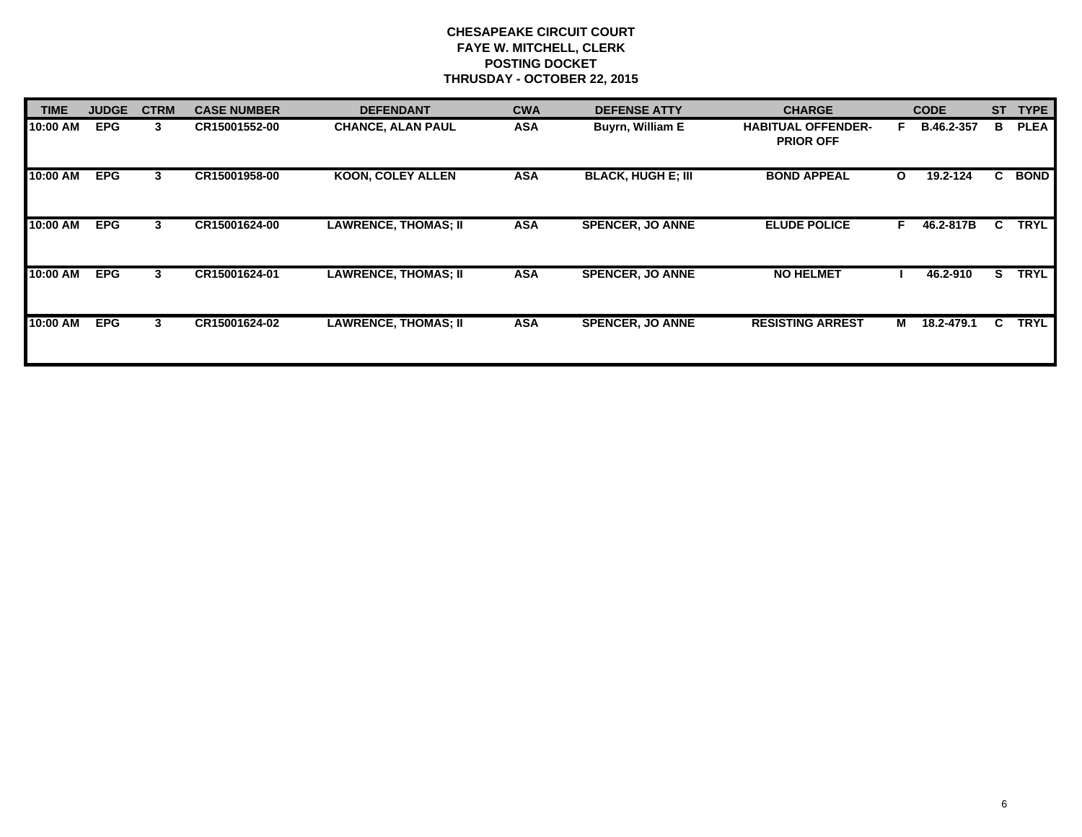| <b>TIME</b> | <b>JUDGE</b> | <b>CTRM</b> | <b>CASE NUMBER</b> | <b>DEFENDANT</b>            | <b>CWA</b> | <b>DEFENSE ATTY</b>       | <b>CHARGE</b>                                 |              | <b>CODE</b> | <b>ST</b> | <b>TYPE</b> |
|-------------|--------------|-------------|--------------------|-----------------------------|------------|---------------------------|-----------------------------------------------|--------------|-------------|-----------|-------------|
| 10:00 AM    | <b>EPG</b>   | 3           | CR15001552-00      | <b>CHANCE, ALAN PAUL</b>    | <b>ASA</b> | <b>Buyrn, William E</b>   | <b>HABITUAL OFFENDER-</b><br><b>PRIOR OFF</b> | F.           | B.46.2-357  | в         | <b>PLEA</b> |
| 10:00 AM    | <b>EPG</b>   | 3           | CR15001958-00      | <b>KOON, COLEY ALLEN</b>    | <b>ASA</b> | <b>BLACK, HUGH E; III</b> | <b>BOND APPEAL</b>                            | $\mathbf{o}$ | 19.2-124    | C.        | <b>BOND</b> |
| 10:00 AM    | <b>EPG</b>   | 3           | CR15001624-00      | <b>LAWRENCE, THOMAS; II</b> | <b>ASA</b> | <b>SPENCER, JO ANNE</b>   | <b>ELUDE POLICE</b>                           | F.           | 46.2-817B   | C.        | <b>TRYL</b> |
| 10:00 AM    | <b>EPG</b>   | 3           | CR15001624-01      | <b>LAWRENCE, THOMAS; II</b> | <b>ASA</b> | <b>SPENCER, JO ANNE</b>   | <b>NO HELMET</b>                              |              | 46.2-910    | S.        | <b>TRYL</b> |
| 10:00 AM    | <b>EPG</b>   | 3           | CR15001624-02      | <b>LAWRENCE, THOMAS; II</b> | <b>ASA</b> | <b>SPENCER, JO ANNE</b>   | <b>RESISTING ARREST</b>                       | M            | 18.2-479.1  | C.        | <b>TRYL</b> |